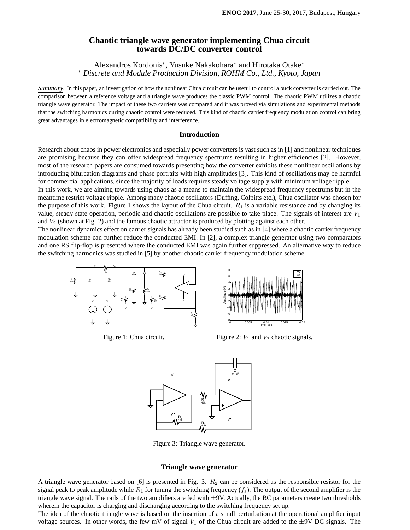# **Chaotic triangle wave generator implementing Chua circuit towards DC/DC converter control**

Alexandros Kordonis<sup>\*</sup>, Yusuke Nakakohara<sup>\*</sup> and Hirotaka Otake<sup>\*</sup> <sup>∗</sup> *Discrete and Module Production Division, ROHM Co., Ltd., Kyoto, Japan*

*Summary*. In this paper, an investigation of how the nonlinear Chua circuit can be useful to control a buck converter is carried out. The comparison between a reference voltage and a triangle wave produces the classic PWM control. The chaotic PWM utilizes a chaotic triangle wave generator. The impact of these two carriers was compared and it was proved via simulations and experimental methods that the switching harmonics during chaotic control were reduced. This kind of chaotic carrier frequency modulation control can bring great advantages in electromagnetic compatibility and interference.

#### **Introduction**

Research about chaos in power electronics and especially power converters is vast such as in [1] and nonlinear techniques are promising because they can offer widespread frequency spectrums resulting in higher efficiencies [2]. However, most of the research papers are consumed towards presenting how the converter exhibits these nonlinear oscillations by introducing bifurcation diagrams and phase portraits with high amplitudes [3]. This kind of oscillations may be harmful for commercial applications, since the majority of loads requires steady voltage supply with minimum voltage ripple.

In this work, we are aiming towards using chaos as a means to maintain the widespread frequency spectrums but in the meantime restrict voltage ripple. Among many chaotic oscillators (Duffing, Colpitts etc.), Chua oscillator was chosen for the purpose of this work. Figure 1 shows the layout of the Chua circuit.  $R_1$  is a variable resistance and by changing its value, steady state operation, periodic and chaotic oscillations are possible to take place. The signals of interest are  $V_1$ and  $V_2$  (shown at Fig. 2) and the famous chaotic attractor is produced by plotting against each other.

The nonlinear dynamics effect on carrier signals has already been studied such as in [4] where a chaotic carrier frequency modulation scheme can further reduce the conducted EMI. In [2], a complex triangle generator using two comparators and one RS flip-flop is presented where the conducted EMI was again further suppressed. An alternative way to reduce the switching harmonics was studied in [5] by another chaotic carrier frequency modulation scheme.



Figure 1: Chua circuit.



Figure 2:  $V_1$  and  $V_2$  chaotic signals.



Figure 3: Triangle wave generator.

### **Triangle wave generator**

A triangle wave generator based on [6] is presented in Fig. 3.  $R_2$  can be considered as the responsible resistor for the signal peak to peak amplitude while  $R_1$  for tuning the switching frequency  $(f_s)$ . The output of the second amplifier is the triangle wave signal. The rails of the two amplifiers are fed with  $\pm$ 9V. Actually, the RC parameters create two thresholds wherein the capacitor is charging and discharging according to the switching frequency set up.

The idea of the chaotic triangle wave is based on the insertion of a small perturbation at the operational amplifier input voltage sources. In other words, the few mV of signal  $V_1$  of the Chua circuit are added to the  $\pm$ 9V DC signals. The